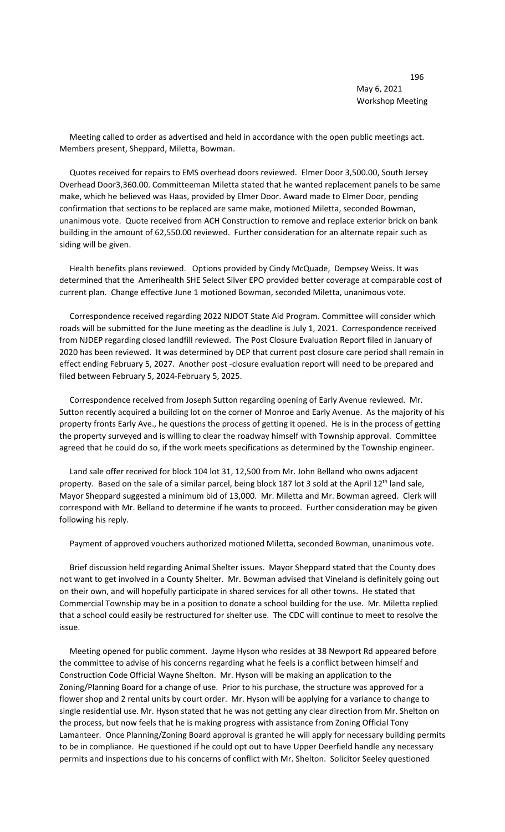Meeting called to order as advertised and held in accordance with the open public meetings act. Members present, Sheppard, Miletta, Bowman.

 Quotes received for repairs to EMS overhead doors reviewed. Elmer Door 3,500.00, South Jersey Overhead Door3,360.00. Committeeman Miletta stated that he wanted replacement panels to be same make, which he believed was Haas, provided by Elmer Door. Award made to Elmer Door, pending confirmation that sections to be replaced are same make, motioned Miletta, seconded Bowman, unanimous vote. Quote received from ACH Construction to remove and replace exterior brick on bank building in the amount of 62,550.00 reviewed. Further consideration for an alternate repair such as siding will be given.

 Health benefits plans reviewed. Options provided by Cindy McQuade, Dempsey Weiss. It was determined that the Amerihealth SHE Select Silver EPO provided better coverage at comparable cost of current plan. Change effective June 1 motioned Bowman, seconded Miletta, unanimous vote.

 Correspondence received regarding 2022 NJDOT State Aid Program. Committee will consider which roads will be submitted for the June meeting as the deadline is July 1, 2021. Correspondence received from NJDEP regarding closed landfill reviewed. The Post Closure Evaluation Report filed in January of 2020 has been reviewed. It was determined by DEP that current post closure care period shall remain in effect ending February 5, 2027. Another post -closure evaluation report will need to be prepared and filed between February 5, 2024-February 5, 2025.

 Correspondence received from Joseph Sutton regarding opening of Early Avenue reviewed. Mr. Sutton recently acquired a building lot on the corner of Monroe and Early Avenue. As the majority of his property fronts Early Ave., he questions the process of getting it opened. He is in the process of getting the property surveyed and is willing to clear the roadway himself with Township approval. Committee agreed that he could do so, if the work meets specifications as determined by the Township engineer.

 Land sale offer received for block 104 lot 31, 12,500 from Mr. John Belland who owns adjacent property. Based on the sale of a similar parcel, being block 187 lot 3 sold at the April 12<sup>th</sup> land sale, Mayor Sheppard suggested a minimum bid of 13,000. Mr. Miletta and Mr. Bowman agreed. Clerk will correspond with Mr. Belland to determine if he wants to proceed. Further consideration may be given following his reply.

Payment of approved vouchers authorized motioned Miletta, seconded Bowman, unanimous vote.

 Brief discussion held regarding Animal Shelter issues. Mayor Sheppard stated that the County does not want to get involved in a County Shelter. Mr. Bowman advised that Vineland is definitely going out on their own, and will hopefully participate in shared services for all other towns. He stated that Commercial Township may be in a position to donate a school building for the use. Mr. Miletta replied that a school could easily be restructured for shelter use. The CDC will continue to meet to resolve the issue.

 Meeting opened for public comment. Jayme Hyson who resides at 38 Newport Rd appeared before the committee to advise of his concerns regarding what he feels is a conflict between himself and Construction Code Official Wayne Shelton. Mr. Hyson will be making an application to the Zoning/Planning Board for a change of use. Prior to his purchase, the structure was approved for a flower shop and 2 rental units by court order. Mr. Hyson will be applying for a variance to change to single residential use. Mr. Hyson stated that he was not getting any clear direction from Mr. Shelton on the process, but now feels that he is making progress with assistance from Zoning Official Tony Lamanteer. Once Planning/Zoning Board approval is granted he will apply for necessary building permits to be in compliance. He questioned if he could opt out to have Upper Deerfield handle any necessary permits and inspections due to his concerns of conflict with Mr. Shelton. Solicitor Seeley questioned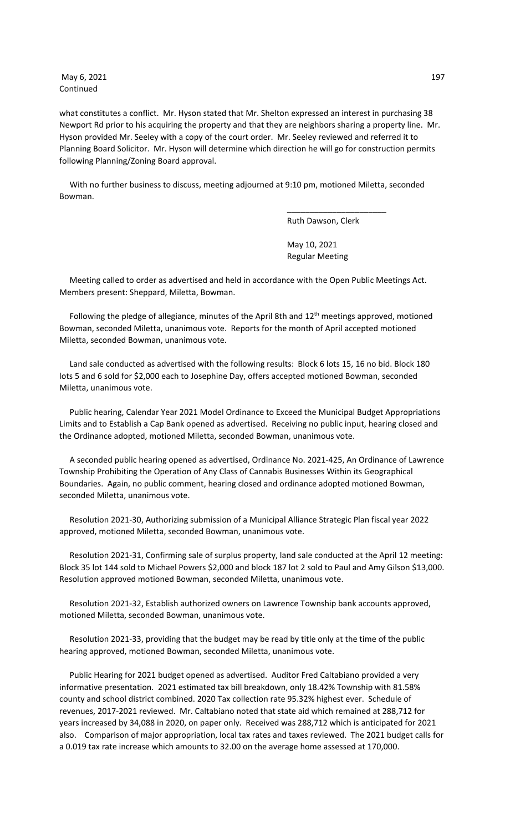May 6, 2021 197 Continued

what constitutes a conflict. Mr. Hyson stated that Mr. Shelton expressed an interest in purchasing 38 Newport Rd prior to his acquiring the property and that they are neighbors sharing a property line. Mr. Hyson provided Mr. Seeley with a copy of the court order. Mr. Seeley reviewed and referred it to Planning Board Solicitor. Mr. Hyson will determine which direction he will go for construction permits following Planning/Zoning Board approval.

 With no further business to discuss, meeting adjourned at 9:10 pm, motioned Miletta, seconded Bowman.

\_\_\_\_\_\_\_\_\_\_\_\_\_\_\_\_\_\_\_\_\_\_

Ruth Dawson, Clerk

 May 10, 2021 Regular Meeting

 Meeting called to order as advertised and held in accordance with the Open Public Meetings Act. Members present: Sheppard, Miletta, Bowman.

Following the pledge of allegiance, minutes of the April 8th and 12<sup>th</sup> meetings approved, motioned Bowman, seconded Miletta, unanimous vote. Reports for the month of April accepted motioned Miletta, seconded Bowman, unanimous vote.

 Land sale conducted as advertised with the following results: Block 6 lots 15, 16 no bid. Block 180 lots 5 and 6 sold for \$2,000 each to Josephine Day, offers accepted motioned Bowman, seconded Miletta, unanimous vote.

 Public hearing, Calendar Year 2021 Model Ordinance to Exceed the Municipal Budget Appropriations Limits and to Establish a Cap Bank opened as advertised. Receiving no public input, hearing closed and the Ordinance adopted, motioned Miletta, seconded Bowman, unanimous vote.

 A seconded public hearing opened as advertised, Ordinance No. 2021-425, An Ordinance of Lawrence Township Prohibiting the Operation of Any Class of Cannabis Businesses Within its Geographical Boundaries. Again, no public comment, hearing closed and ordinance adopted motioned Bowman, seconded Miletta, unanimous vote.

 Resolution 2021-30, Authorizing submission of a Municipal Alliance Strategic Plan fiscal year 2022 approved, motioned Miletta, seconded Bowman, unanimous vote.

 Resolution 2021-31, Confirming sale of surplus property, land sale conducted at the April 12 meeting: Block 35 lot 144 sold to Michael Powers \$2,000 and block 187 lot 2 sold to Paul and Amy Gilson \$13,000. Resolution approved motioned Bowman, seconded Miletta, unanimous vote.

 Resolution 2021-32, Establish authorized owners on Lawrence Township bank accounts approved, motioned Miletta, seconded Bowman, unanimous vote.

 Resolution 2021-33, providing that the budget may be read by title only at the time of the public hearing approved, motioned Bowman, seconded Miletta, unanimous vote.

 Public Hearing for 2021 budget opened as advertised. Auditor Fred Caltabiano provided a very informative presentation. 2021 estimated tax bill breakdown, only 18.42% Township with 81.58% county and school district combined. 2020 Tax collection rate 95.32% highest ever. Schedule of revenues, 2017-2021 reviewed. Mr. Caltabiano noted that state aid which remained at 288,712 for years increased by 34,088 in 2020, on paper only. Received was 288,712 which is anticipated for 2021 also. Comparison of major appropriation, local tax rates and taxes reviewed. The 2021 budget calls for a 0.019 tax rate increase which amounts to 32.00 on the average home assessed at 170,000.